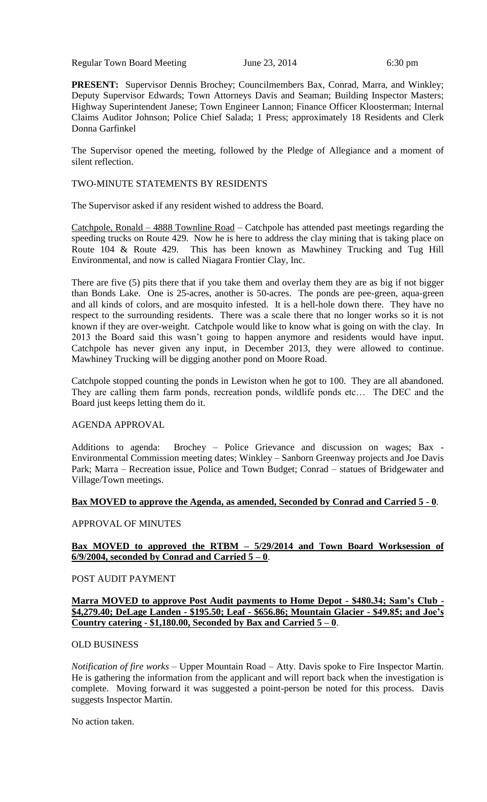Regular Town Board Meeting June 23, 2014 6:30 pm

**PRESENT:** Supervisor Dennis Brochey; Councilmembers Bax, Conrad, Marra, and Winkley; Deputy Supervisor Edwards; Town Attorneys Davis and Seaman; Building Inspector Masters; Highway Superintendent Janese; Town Engineer Lannon; Finance Officer Kloosterman; Internal Claims Auditor Johnson; Police Chief Salada; 1 Press; approximately 18 Residents and Clerk Donna Garfinkel

The Supervisor opened the meeting, followed by the Pledge of Allegiance and a moment of silent reflection.

### TWO-MINUTE STATEMENTS BY RESIDENTS

The Supervisor asked if any resident wished to address the Board.

Catchpole, Ronald – 4888 Townline Road – Catchpole has attended past meetings regarding the speeding trucks on Route 429. Now he is here to address the clay mining that is taking place on Route 104 & Route 429. This has been known as Mawhiney Trucking and Tug Hill Environmental, and now is called Niagara Frontier Clay, Inc.

There are five (5) pits there that if you take them and overlay them they are as big if not bigger than Bonds Lake. One is 25-acres, another is 50-acres. The ponds are pee-green, aqua-green and all kinds of colors, and are mosquito infested. It is a hell-hole down there. They have no respect to the surrounding residents. There was a scale there that no longer works so it is not known if they are over-weight. Catchpole would like to know what is going on with the clay. In 2013 the Board said this wasn't going to happen anymore and residents would have input. Catchpole has never given any input, in December 2013, they were allowed to continue. Mawhiney Trucking will be digging another pond on Moore Road.

Catchpole stopped counting the ponds in Lewiston when he got to 100. They are all abandoned. They are calling them farm ponds, recreation ponds, wildlife ponds etc… The DEC and the Board just keeps letting them do it.

# AGENDA APPROVAL

Additions to agenda: Brochey – Police Grievance and discussion on wages; Bax - Environmental Commission meeting dates; Winkley – Sanborn Greenway projects and Joe Davis Park; Marra – Recreation issue, Police and Town Budget; Conrad – statues of Bridgewater and Village/Town meetings.

# **Bax MOVED to approve the Agenda, as amended, Seconded by Conrad and Carried 5 - 0**.

# APPROVAL OF MINUTES

# **Bax MOVED to approved the RTBM – 5/29/2014 and Town Board Worksession of**   $6/9/2004$ , seconded by Conrad and Carried  $5 - 0$ .

#### POST AUDIT PAYMENT

#### **Marra MOVED to approve Post Audit payments to Home Depot - \$480.34; Sam's Club - \$4,279.40; DeLage Landen - \$195.50; Leaf - \$656.86; Mountain Glacier - \$49.85; and Joe's Country catering - \$1,180.00, Seconded by Bax and Carried 5 – 0**.

#### OLD BUSINESS

*Notification of fire works* – Upper Mountain Road – Atty. Davis spoke to Fire Inspector Martin. He is gathering the information from the applicant and will report back when the investigation is complete. Moving forward it was suggested a point-person be noted for this process. Davis suggests Inspector Martin.

No action taken.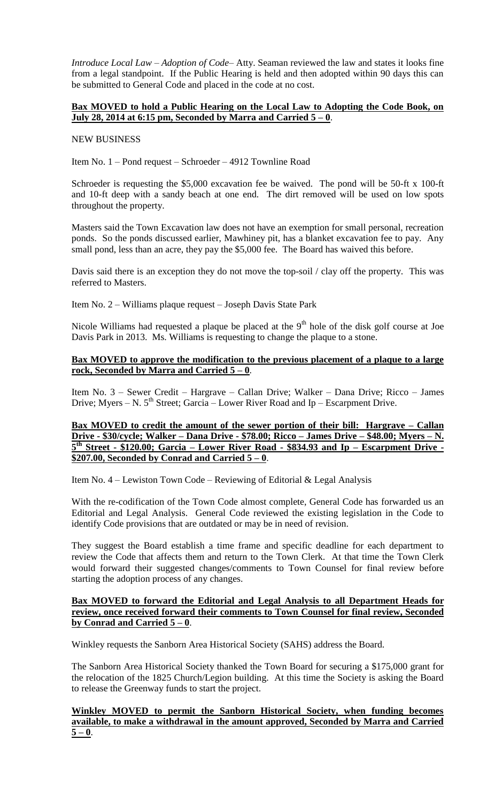*Introduce Local Law – Adoption of Code*– Atty. Seaman reviewed the law and states it looks fine from a legal standpoint. If the Public Hearing is held and then adopted within 90 days this can be submitted to General Code and placed in the code at no cost.

# **Bax MOVED to hold a Public Hearing on the Local Law to Adopting the Code Book, on July 28, 2014 at 6:15 pm, Seconded by Marra and Carried 5 – 0**.

#### NEW BUSINESS

Item No. 1 – Pond request – Schroeder – 4912 Townline Road

Schroeder is requesting the \$5,000 excavation fee be waived. The pond will be 50-ft x 100-ft and 10-ft deep with a sandy beach at one end. The dirt removed will be used on low spots throughout the property.

Masters said the Town Excavation law does not have an exemption for small personal, recreation ponds. So the ponds discussed earlier, Mawhiney pit, has a blanket excavation fee to pay. Any small pond, less than an acre, they pay the \$5,000 fee. The Board has waived this before.

Davis said there is an exception they do not move the top-soil / clay off the property. This was referred to Masters.

Item No. 2 – Williams plaque request – Joseph Davis State Park

Nicole Williams had requested a plaque be placed at the  $9<sup>th</sup>$  hole of the disk golf course at Joe Davis Park in 2013. Ms. Williams is requesting to change the plaque to a stone.

### **Bax MOVED to approve the modification to the previous placement of a plaque to a large rock, Seconded by Marra and Carried 5 – 0**.

Item No. 3 – Sewer Credit – Hargrave – Callan Drive; Walker – Dana Drive; Ricco – James Drive; Myers – N.  $5<sup>th</sup>$  Street; Garcia – Lower River Road and Ip – Escarpment Drive.

**Bax MOVED to credit the amount of the sewer portion of their bill: Hargrave – Callan Drive - \$30/cycle; Walker – Dana Drive - \$78.00; Ricco – James Drive – \$48.00; Myers – N. 5 th Street - \$120.00; Garcia – Lower River Road - \$834.93 and Ip – Escarpment Drive - \$207.00, Seconded by Conrad and Carried 5 – 0**.

Item No. 4 – Lewiston Town Code – Reviewing of Editorial & Legal Analysis

With the re-codification of the Town Code almost complete, General Code has forwarded us an Editorial and Legal Analysis. General Code reviewed the existing legislation in the Code to identify Code provisions that are outdated or may be in need of revision.

They suggest the Board establish a time frame and specific deadline for each department to review the Code that affects them and return to the Town Clerk. At that time the Town Clerk would forward their suggested changes/comments to Town Counsel for final review before starting the adoption process of any changes.

### **Bax MOVED to forward the Editorial and Legal Analysis to all Department Heads for review, once received forward their comments to Town Counsel for final review, Seconded by Conrad and Carried 5 – 0**.

Winkley requests the Sanborn Area Historical Society (SAHS) address the Board.

The Sanborn Area Historical Society thanked the Town Board for securing a \$175,000 grant for the relocation of the 1825 Church/Legion building. At this time the Society is asking the Board to release the Greenway funds to start the project.

**Winkley MOVED to permit the Sanborn Historical Society, when funding becomes available, to make a withdrawal in the amount approved, Seconded by Marra and Carried**   $5 - 0$ .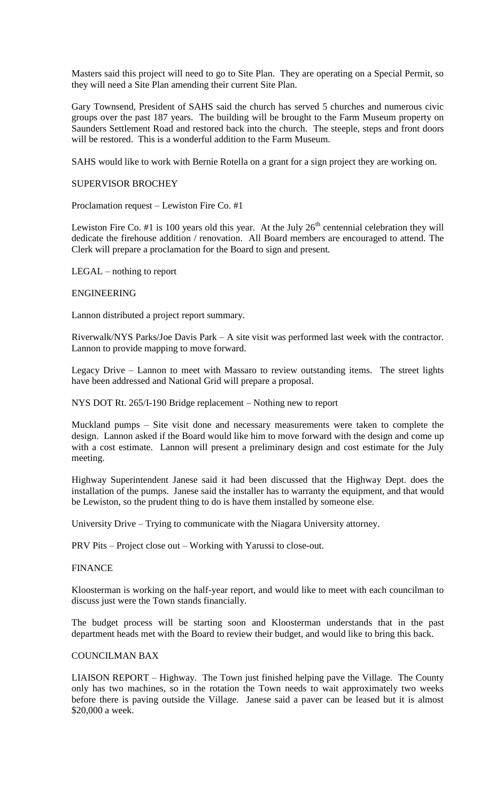Masters said this project will need to go to Site Plan. They are operating on a Special Permit, so they will need a Site Plan amending their current Site Plan.

Gary Townsend, President of SAHS said the church has served 5 churches and numerous civic groups over the past 187 years. The building will be brought to the Farm Museum property on Saunders Settlement Road and restored back into the church. The steeple, steps and front doors will be restored. This is a wonderful addition to the Farm Museum.

SAHS would like to work with Bernie Rotella on a grant for a sign project they are working on.

#### SUPERVISOR BROCHEY

Proclamation request – Lewiston Fire Co. #1

Lewiston Fire Co. #1 is 100 years old this year. At the July  $26<sup>th</sup>$  centennial celebration they will dedicate the firehouse addition / renovation. All Board members are encouraged to attend. The Clerk will prepare a proclamation for the Board to sign and present.

LEGAL – nothing to report

#### ENGINEERING

Lannon distributed a project report summary.

Riverwalk/NYS Parks/Joe Davis Park – A site visit was performed last week with the contractor. Lannon to provide mapping to move forward.

Legacy Drive – Lannon to meet with Massaro to review outstanding items. The street lights have been addressed and National Grid will prepare a proposal.

NYS DOT Rt. 265/I-190 Bridge replacement – Nothing new to report

Muckland pumps – Site visit done and necessary measurements were taken to complete the design. Lannon asked if the Board would like him to move forward with the design and come up with a cost estimate. Lannon will present a preliminary design and cost estimate for the July meeting.

Highway Superintendent Janese said it had been discussed that the Highway Dept. does the installation of the pumps. Janese said the installer has to warranty the equipment, and that would be Lewiston, so the prudent thing to do is have them installed by someone else.

University Drive – Trying to communicate with the Niagara University attorney.

PRV Pits – Project close out – Working with Yarussi to close-out.

#### **FINANCE**

Kloosterman is working on the half-year report, and would like to meet with each councilman to discuss just were the Town stands financially.

The budget process will be starting soon and Kloosterman understands that in the past department heads met with the Board to review their budget, and would like to bring this back.

# COUNCILMAN BAX

LIAISON REPORT – Highway. The Town just finished helping pave the Village. The County only has two machines, so in the rotation the Town needs to wait approximately two weeks before there is paving outside the Village. Janese said a paver can be leased but it is almost \$20,000 a week.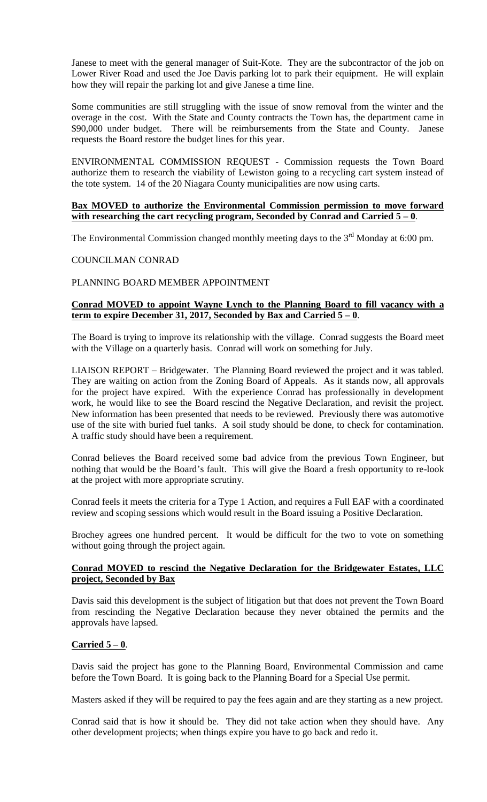Janese to meet with the general manager of Suit-Kote. They are the subcontractor of the job on Lower River Road and used the Joe Davis parking lot to park their equipment. He will explain how they will repair the parking lot and give Janese a time line.

Some communities are still struggling with the issue of snow removal from the winter and the overage in the cost. With the State and County contracts the Town has, the department came in \$90,000 under budget. There will be reimbursements from the State and County. Janese requests the Board restore the budget lines for this year.

ENVIRONMENTAL COMMISSION REQUEST - Commission requests the Town Board authorize them to research the viability of Lewiston going to a recycling cart system instead of the tote system. 14 of the 20 Niagara County municipalities are now using carts.

### **Bax MOVED to authorize the Environmental Commission permission to move forward with researching the cart recycling program, Seconded by Conrad and Carried 5 – 0**.

The Environmental Commission changed monthly meeting days to the  $3<sup>rd</sup>$  Monday at 6:00 pm.

# COUNCILMAN CONRAD

# PLANNING BOARD MEMBER APPOINTMENT

# **Conrad MOVED to appoint Wayne Lynch to the Planning Board to fill vacancy with a term to expire December 31, 2017, Seconded by Bax and Carried 5 – 0**.

The Board is trying to improve its relationship with the village. Conrad suggests the Board meet with the Village on a quarterly basis. Conrad will work on something for July.

LIAISON REPORT – Bridgewater. The Planning Board reviewed the project and it was tabled. They are waiting on action from the Zoning Board of Appeals. As it stands now, all approvals for the project have expired. With the experience Conrad has professionally in development work, he would like to see the Board rescind the Negative Declaration, and revisit the project. New information has been presented that needs to be reviewed. Previously there was automotive use of the site with buried fuel tanks. A soil study should be done, to check for contamination. A traffic study should have been a requirement.

Conrad believes the Board received some bad advice from the previous Town Engineer, but nothing that would be the Board's fault. This will give the Board a fresh opportunity to re-look at the project with more appropriate scrutiny.

Conrad feels it meets the criteria for a Type 1 Action, and requires a Full EAF with a coordinated review and scoping sessions which would result in the Board issuing a Positive Declaration.

Brochey agrees one hundred percent. It would be difficult for the two to vote on something without going through the project again.

# **Conrad MOVED to rescind the Negative Declaration for the Bridgewater Estates, LLC project, Seconded by Bax**

Davis said this development is the subject of litigation but that does not prevent the Town Board from rescinding the Negative Declaration because they never obtained the permits and the approvals have lapsed.

# **Carried 5 – 0**.

Davis said the project has gone to the Planning Board, Environmental Commission and came before the Town Board. It is going back to the Planning Board for a Special Use permit.

Masters asked if they will be required to pay the fees again and are they starting as a new project.

Conrad said that is how it should be. They did not take action when they should have. Any other development projects; when things expire you have to go back and redo it.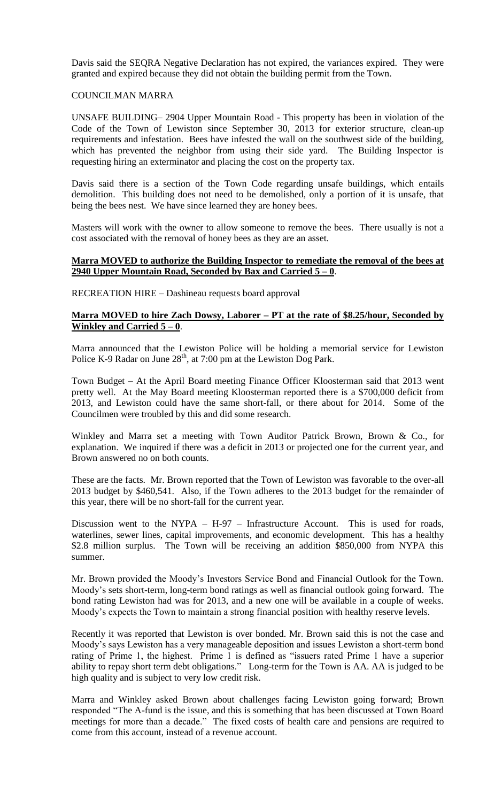Davis said the SEQRA Negative Declaration has not expired, the variances expired. They were granted and expired because they did not obtain the building permit from the Town.

### COUNCILMAN MARRA

UNSAFE BUILDING– 2904 Upper Mountain Road - This property has been in violation of the Code of the Town of Lewiston since September 30, 2013 for exterior structure, clean-up requirements and infestation. Bees have infested the wall on the southwest side of the building, which has prevented the neighbor from using their side yard. The Building Inspector is requesting hiring an exterminator and placing the cost on the property tax.

Davis said there is a section of the Town Code regarding unsafe buildings, which entails demolition. This building does not need to be demolished, only a portion of it is unsafe, that being the bees nest. We have since learned they are honey bees.

Masters will work with the owner to allow someone to remove the bees. There usually is not a cost associated with the removal of honey bees as they are an asset.

#### **Marra MOVED to authorize the Building Inspector to remediate the removal of the bees at 2940 Upper Mountain Road, Seconded by Bax and Carried 5 – 0**.

RECREATION HIRE – Dashineau requests board approval

### **Marra MOVED to hire Zach Dowsy, Laborer – PT at the rate of \$8.25/hour, Seconded by Winkley and Carried 5 – 0**.

Marra announced that the Lewiston Police will be holding a memorial service for Lewiston Police K-9 Radar on June  $28<sup>th</sup>$ , at 7:00 pm at the Lewiston Dog Park.

Town Budget – At the April Board meeting Finance Officer Kloosterman said that 2013 went pretty well. At the May Board meeting Kloosterman reported there is a \$700,000 deficit from 2013, and Lewiston could have the same short-fall, or there about for 2014. Some of the Councilmen were troubled by this and did some research.

Winkley and Marra set a meeting with Town Auditor Patrick Brown, Brown & Co., for explanation. We inquired if there was a deficit in 2013 or projected one for the current year, and Brown answered no on both counts.

These are the facts. Mr. Brown reported that the Town of Lewiston was favorable to the over-all 2013 budget by \$460,541. Also, if the Town adheres to the 2013 budget for the remainder of this year, there will be no short-fall for the current year.

Discussion went to the NYPA – H-97 – Infrastructure Account. This is used for roads, waterlines, sewer lines, capital improvements, and economic development. This has a healthy \$2.8 million surplus. The Town will be receiving an addition \$850,000 from NYPA this summer.

Mr. Brown provided the Moody's Investors Service Bond and Financial Outlook for the Town. Moody's sets short-term, long-term bond ratings as well as financial outlook going forward. The bond rating Lewiston had was for 2013, and a new one will be available in a couple of weeks. Moody's expects the Town to maintain a strong financial position with healthy reserve levels.

Recently it was reported that Lewiston is over bonded. Mr. Brown said this is not the case and Moody's says Lewiston has a very manageable deposition and issues Lewiston a short-term bond rating of Prime 1, the highest. Prime 1 is defined as "issuers rated Prime 1 have a superior ability to repay short term debt obligations." Long-term for the Town is AA. AA is judged to be high quality and is subject to very low credit risk.

Marra and Winkley asked Brown about challenges facing Lewiston going forward; Brown responded "The A-fund is the issue, and this is something that has been discussed at Town Board meetings for more than a decade." The fixed costs of health care and pensions are required to come from this account, instead of a revenue account.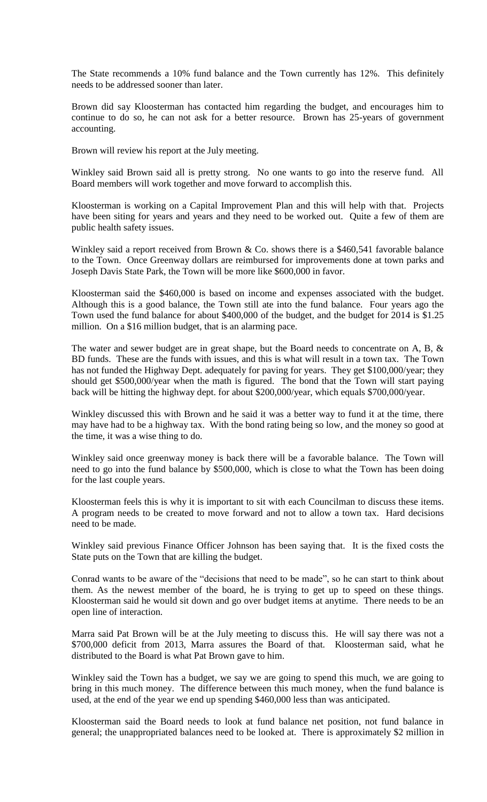The State recommends a 10% fund balance and the Town currently has 12%. This definitely needs to be addressed sooner than later.

Brown did say Kloosterman has contacted him regarding the budget, and encourages him to continue to do so, he can not ask for a better resource. Brown has 25-years of government accounting.

Brown will review his report at the July meeting.

Winkley said Brown said all is pretty strong. No one wants to go into the reserve fund. All Board members will work together and move forward to accomplish this.

Kloosterman is working on a Capital Improvement Plan and this will help with that. Projects have been siting for years and years and they need to be worked out. Quite a few of them are public health safety issues.

Winkley said a report received from Brown & Co. shows there is a \$460,541 favorable balance to the Town. Once Greenway dollars are reimbursed for improvements done at town parks and Joseph Davis State Park, the Town will be more like \$600,000 in favor.

Kloosterman said the \$460,000 is based on income and expenses associated with the budget. Although this is a good balance, the Town still ate into the fund balance. Four years ago the Town used the fund balance for about \$400,000 of the budget, and the budget for 2014 is \$1.25 million. On a \$16 million budget, that is an alarming pace.

The water and sewer budget are in great shape, but the Board needs to concentrate on A, B, & BD funds. These are the funds with issues, and this is what will result in a town tax. The Town has not funded the Highway Dept. adequately for paving for years. They get \$100,000/year; they should get \$500,000/year when the math is figured. The bond that the Town will start paying back will be hitting the highway dept. for about \$200,000/year, which equals \$700,000/year.

Winkley discussed this with Brown and he said it was a better way to fund it at the time, there may have had to be a highway tax. With the bond rating being so low, and the money so good at the time, it was a wise thing to do.

Winkley said once greenway money is back there will be a favorable balance. The Town will need to go into the fund balance by \$500,000, which is close to what the Town has been doing for the last couple years.

Kloosterman feels this is why it is important to sit with each Councilman to discuss these items. A program needs to be created to move forward and not to allow a town tax. Hard decisions need to be made.

Winkley said previous Finance Officer Johnson has been saying that. It is the fixed costs the State puts on the Town that are killing the budget.

Conrad wants to be aware of the "decisions that need to be made", so he can start to think about them. As the newest member of the board, he is trying to get up to speed on these things. Kloosterman said he would sit down and go over budget items at anytime. There needs to be an open line of interaction.

Marra said Pat Brown will be at the July meeting to discuss this. He will say there was not a \$700,000 deficit from 2013, Marra assures the Board of that. Kloosterman said, what he distributed to the Board is what Pat Brown gave to him.

Winkley said the Town has a budget, we say we are going to spend this much, we are going to bring in this much money. The difference between this much money, when the fund balance is used, at the end of the year we end up spending \$460,000 less than was anticipated.

Kloosterman said the Board needs to look at fund balance net position, not fund balance in general; the unappropriated balances need to be looked at. There is approximately \$2 million in